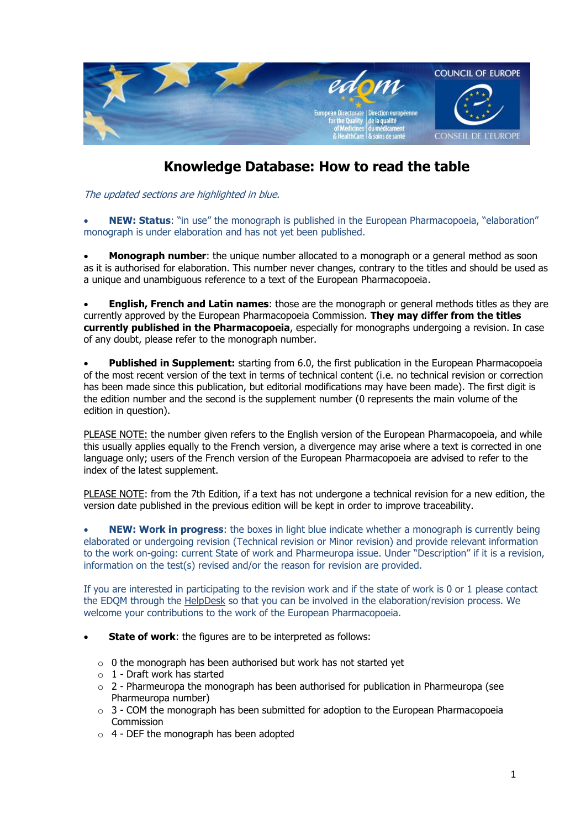

## **Knowledge Database: How to read the table**

The updated sections are highlighted in blue.

 **NEW: Status**: "in use" the monograph is published in the European Pharmacopoeia, "elaboration" monograph is under elaboration and has not yet been published.

 **Monograph number**: the unique number allocated to a monograph or a general method as soon as it is authorised for elaboration. This number never changes, contrary to the titles and should be used as a unique and unambiguous reference to a text of the European Pharmacopoeia.

 **English, French and Latin names**: those are the monograph or general methods titles as they are currently approved by the European Pharmacopoeia Commission. **They may differ from the titles currently published in the Pharmacopoeia**, especially for monographs undergoing a revision. In case of any doubt, please refer to the monograph number.

 **Published in Supplement:** starting from 6.0, the first publication in the European Pharmacopoeia of the most recent version of the text in terms of technical content (i.e. no technical revision or correction has been made since this publication, but editorial modifications may have been made). The first digit is the edition number and the second is the supplement number (0 represents the main volume of the edition in question).

PLEASE NOTE: the number given refers to the English version of the European Pharmacopoeia, and while this usually applies equally to the French version, a divergence may arise where a text is corrected in one language only; users of the French version of the European Pharmacopoeia are advised to refer to the index of the latest supplement.

PLEASE NOTE: from the 7th Edition, if a text has not undergone a technical revision for a new edition, the version date published in the previous edition will be kept in order to improve traceability.

 **NEW: Work in progress**: the boxes in light blue indicate whether a monograph is currently being elaborated or undergoing revision (Technical revision or Minor revision) and provide relevant information to the work on-going: current State of work and Pharmeuropa issue. Under "Description" if it is a revision, information on the test(s) revised and/or the reason for revision are provided.

If you are interested in participating to the revision work and if the state of work is 0 or 1 please contact the EDQM through the [HelpDesk](http://www.edqm.eu/en/EDQM-FAQ-and-Helpdesk-List-630.html) so that you can be involved in the elaboration/revision process. We welcome your contributions to the work of the European Pharmacopoeia.

- **State of work**: the figures are to be interpreted as follows:
	- $\circ$  0 the monograph has been authorised but work has not started yet
	- $\circ$  1 Draft work has started
	- $\circ$  2 Pharmeuropa the monograph has been authorised for publication in Pharmeuropa (see Pharmeuropa number)
	- $\circ$  3 COM the monograph has been submitted for adoption to the European Pharmacopoeia Commission
	- o 4 DEF the monograph has been adopted